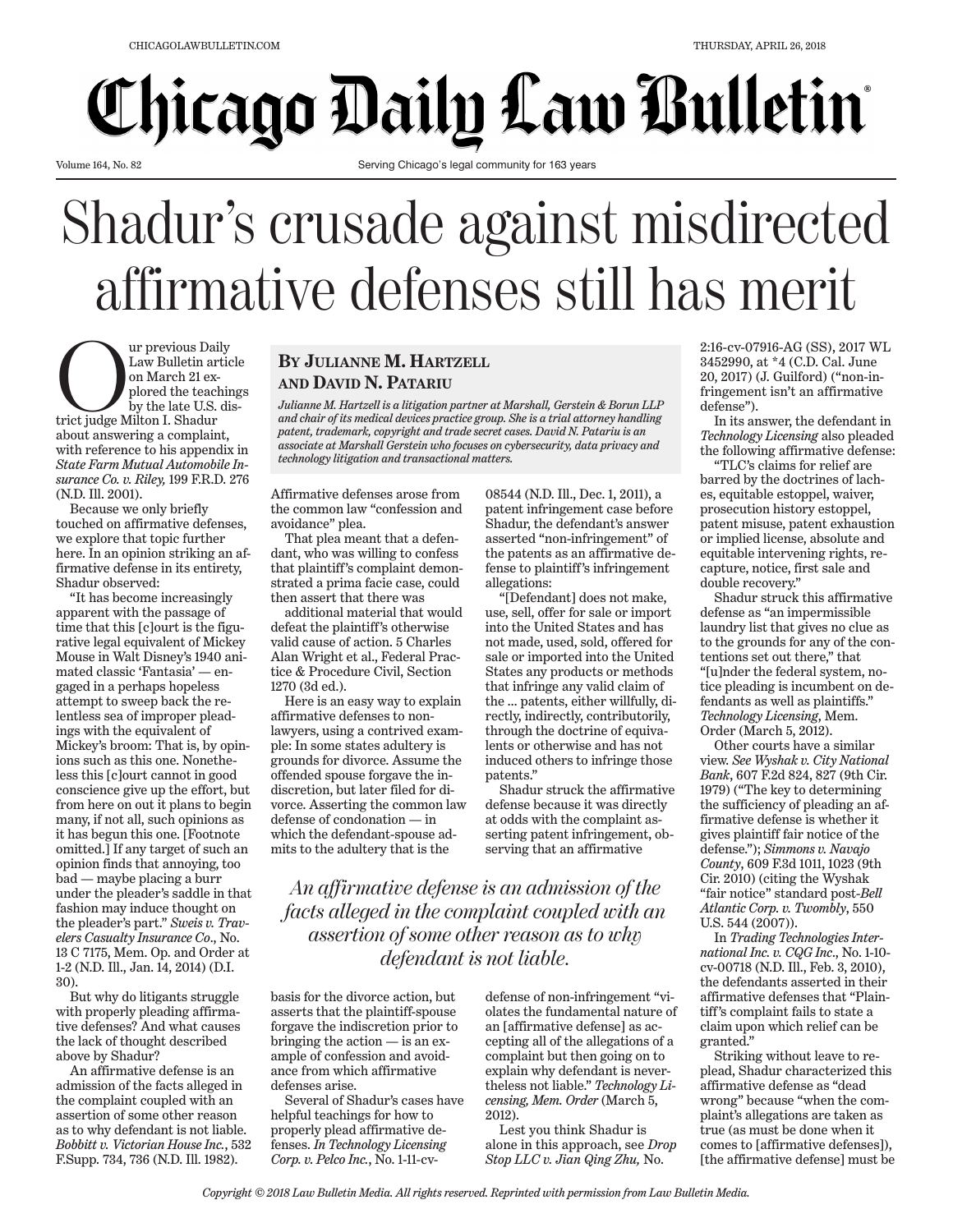## **Chicago Daily Law Bulletin**

Volume 164, No. 82

Serving Chicago's legal community for 163 years

## Shadur's crusade against misdirected affirmative defenses still has merit

Our previous Daily trict judge Milton I. Shadur Law Bulletin article on March 21 explored the teachings by the late U.S. disabout answering a complaint, with reference to his appendix in *State Farm Mutual Automobile Insurance Co. v. Riley,* 199 F.R.D. 276 (N.D. Ill. 2001).

Because we only briefly touched on affirmative defenses, we explore that topic further here. In an opinion striking an affirmative defense in its entirety, Shadur observed:

"It has become increasingly apparent with the passage of time that this [c]ourt is the figurative legal equivalent of Mickey Mouse in Walt Disney's 1940 animated classic 'Fantasia' — engaged in a perhaps hopeless attempt to sweep back the relentless sea of improper pleadings with the equivalent of Mickey's broom: That is, by opinions such as this one. Nonetheless this [c]ourt cannot in good conscience give up the effort, but from here on out it plans to begin many, if not all, such opinions as it has begun this one. [Footnote omitted.] If any target of such an opinion finds that annoying, too bad — maybe placing a burr under the pleader's saddle in that fashion may induce thought on the pleader's part." *Sweis v. Travelers Casualty Insurance Co*., No. 13 C 7175, Mem. Op. and Order at 1-2 (N.D. Ill., Jan. 14, 2014) (D.I. 30).

But why do litigants struggle with properly pleading affirmative defenses? And what causes the lack of thought described above by Shadur?

An affirmative defense is an admission of the facts alleged in the complaint coupled with an assertion of some other reason as to why defendant is not liable. *Bobbitt v. Victorian House Inc.*, 532 F.Supp. 734, 736 (N.D. Ill. 1982).

## **BY JULIANNE M. HARTZELL AND DAVID N. PATARIU**

*Julianne M. Hartzell is a litigation partner at Marshall, Gerstein & Borun LLP and chair of its medical devices practice group. She is a trial attorney handling patent, trademark, copyright and trade secret cases. David N. Patariu is an associate at Marshall Gerstein who focuses on cybersecurity, data privacy and technology litigation and transactional matters.*

Affirmative defenses arose from the common law "confession and avoidance" plea.

That plea meant that a defendant, who was willing to confess that plaintiff's complaint demonstrated a prima facie case, could then assert that there was

additional material that would defeat the plaintiff's otherwise valid cause of action. 5 Charles Alan Wright et al., Federal Practice & Procedure Civil, Section 1270 (3d ed.).

Here is an easy way to explain affirmative defenses to nonlawyers, using a contrived example: In some states adultery is grounds for divorce. Assume the offended spouse forgave the indiscretion, but later filed for divorce. Asserting the common law defense of condonation — in which the defendant-spouse admits to the adultery that is the

08544 (N.D. Ill., Dec. 1, 2011), a patent infringement case before Shadur, the defendant's answer asserted "non-infringement" of the patents as an affirmative defense to plaintiff's infringement allegations:

"[Defendant] does not make, use, sell, offer for sale or import into the United States and has not made, used, sold, offered for sale or imported into the United States any products or methods that infringe any valid claim of the … patents, either willfully, directly, indirectly, contributorily, through the doctrine of equivalents or otherwise and has not induced others to infringe those patents."

Shadur struck the affirmative defense because it was directly at odds with the complaint asserting patent infringement, observing that an affirmative

*An affirmative defense is an admission of the facts alleged in the complaint coupled with an assertion of some other reason as to why defendant is not liable.*

basis for the divorce action, but asserts that the plaintiff-spouse forgave the indiscretion prior to bringing the action — is an example of confession and avoidance from which affirmative defenses arise.

Several of Shadur's cases have helpful teachings for how to properly plead affirmative defenses. *In Technology Licensing Corp. v. Pelco Inc.*, No. 1-11-cv-

defense of non-infringement "violates the fundamental nature of an [affirmative defense] as accepting all of the allegations of a complaint but then going on to explain why defendant is nevertheless not liable." *Technology Licensing, Mem. Order* (March 5, 2012).

Lest you think Shadur is alone in this approach, see *Drop Stop LLC v. Jian Qing Zhu,* No.

2:16-cv-07916-AG (SS), 2017 WL 3452990, at \*4 (C.D. Cal. June 20, 2017) (J. Guilford) ("non-infringement isn't an affirmative defense").

In its answer, the defendant in *Technology Licensing* also pleaded the following affirmative defense:

"TLC's claims for relief are barred by the doctrines of laches, equitable estoppel, waiver, prosecution history estoppel, patent misuse, patent exhaustion or implied license, absolute and equitable intervening rights, recapture, notice, first sale and double recovery."

Shadur struck this affirmative defense as "an impermissible laundry list that gives no clue as to the grounds for any of the contentions set out there," that "[u]nder the federal system, notice pleading is incumbent on defendants as well as plaintiffs." *Technology Licensing*, Mem. Order (March 5, 2012).

Other courts have a similar view. *See Wyshak v. City National Bank*, 607 F.2d 824, 827 (9th Cir. 1979) ("The key to determining the sufficiency of pleading an affirmative defense is whether it gives plaintiff fair notice of the defense."); *Simmons v. Navajo County*, 609 F.3d 1011, 1023 (9th Cir. 2010) (citing the Wyshak "fair notice" standard post-*Bell Atlantic Corp. v. Twombly*, 550 U.S. 544 (2007)).

In *Trading Technologies International Inc. v. CQG Inc*., No. 1-10 cv-00718 (N.D. Ill., Feb. 3, 2010), the defendants asserted in their affirmative defenses that "Plaintiff's complaint fails to state a claim upon which relief can be granted."

Striking without leave to replead, Shadur characterized this affirmative defense as "dead wrong" because "when the complaint's allegations are taken as true (as must be done when it comes to [affirmative defenses]), [the affirmative defense] must be